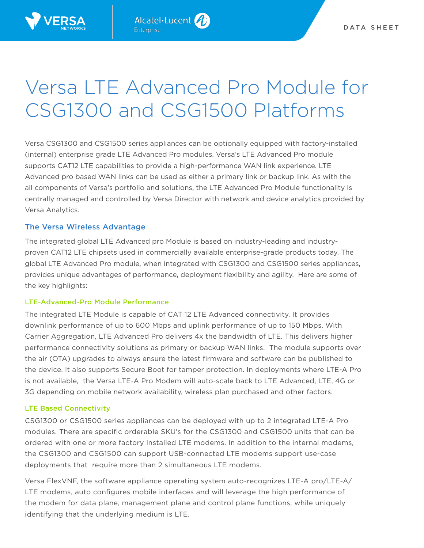

# Versa LTE Advanced Pro Module for CSG1300 and CSG1500 Platforms

Versa CSG1300 and CSG1500 series appliances can be optionally equipped with factory-installed (internal) enterprise grade LTE Advanced Pro modules. Versa's LTE Advanced Pro module supports CAT12 LTE capabilities to provide a high-performance WAN link experience. LTE Advanced pro based WAN links can be used as either a primary link or backup link. As with the all components of Versa's portfolio and solutions, the LTE Advanced Pro Module functionality is centrally managed and controlled by Versa Director with network and device analytics provided by Versa Analytics.

## The Versa Wireless Advantage

The integrated global LTE Advanced pro Module is based on industry-leading and industryproven CAT12 LTE chipsets used in commercially available enterprise-grade products today. The global LTE Advanced Pro module, when integrated with CSG1300 and CSG1500 series appliances, provides unique advantages of performance, deployment flexibility and agility. Here are some of the key highlights:

## LTE-Advanced-Pro Module Performance

The integrated LTE Module is capable of CAT 12 LTE Advanced connectivity. It provides downlink performance of up to 600 Mbps and uplink performance of up to 150 Mbps. With Carrier Aggregation, LTE Advanced Pro delivers 4x the bandwidth of LTE. This delivers higher performance connectivity solutions as primary or backup WAN links. The module supports over the air (OTA) upgrades to always ensure the latest firmware and software can be published to the device. It also supports Secure Boot for tamper protection. In deployments where LTE-A Pro is not available, the Versa LTE-A Pro Modem will auto-scale back to LTE Advanced, LTE, 4G or 3G depending on mobile network availability, wireless plan purchased and other factors.

## LTE Based Connectivity

CSG1300 or CSG1500 series appliances can be deployed with up to 2 integrated LTE-A Pro modules. There are specific orderable SKU's for the CSG1300 and CSG1500 units that can be ordered with one or more factory installed LTE modems. In addition to the internal modems, the CSG1300 and CSG1500 can support USB-connected LTE modems support use-case deployments that require more than 2 simultaneous LTE modems.

Versa FlexVNF, the software appliance operating system auto-recognizes LTE-A pro/LTE-A/ LTE modems, auto configures mobile interfaces and will leverage the high performance of the modem for data plane, management plane and control plane functions, while uniquely identifying that the underlying medium is LTE.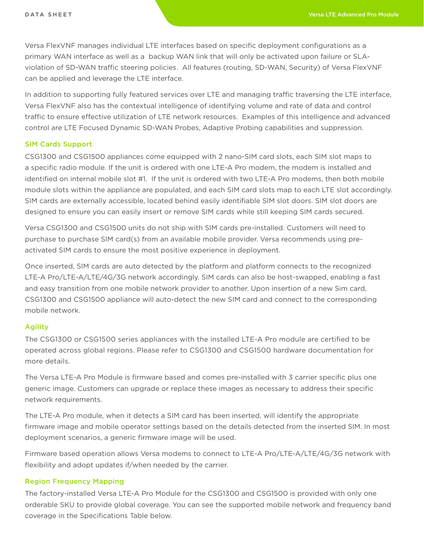Versa FlexVNF manages individual LTE interfaces based on specific deployment configurations as a primary WAN interface as well as a backup WAN link that will only be activated upon failure or SLAviolation of SD-WAN traffic steering policies. All features (routing, SD-WAN, Security) of Versa FlexVNF can be applied and leverage the LTE interface.

In addition to supporting fully featured services over LTE and managing traffic traversing the LTE interface, Versa FlexVNF also has the contextual intelligence of identifying volume and rate of data and control traffic to ensure effective utilization of LTE network resources. Examples of this intelligence and advanced control are LTE Focused Dynamic SD-WAN Probes, Adaptive Probing capabilities and suppression.

#### SIM Cards Support

CSG1300 and CSG1500 appliances come equipped with 2 nano-SIM card slots, each SIM slot maps to a specific radio module. If the unit is ordered with one LTE-A Pro modem, the modem is installed and identified on internal mobile slot #1. If the unit is ordered with two LTE-A Pro modems, then both mobile module slots within the appliance are populated, and each SIM card slots map to each LTE slot accordingly. SIM cards are externally accessible, located behind easily identifiable SIM slot doors. SIM slot doors are designed to ensure you can easily insert or remove SIM cards while still keeping SIM cards secured.

Versa CSG1300 and CSG1500 units do not ship with SIM cards pre-installed. Customers will need to purchase to purchase SIM card(s) from an available mobile provider. Versa recommends using preactivated SIM cards to ensure the most positive experience in deployment.

Once inserted, SIM cards are auto detected by the platform and platform connects to the recognized LTE-A Pro/LTE-A/LTE/4G/3G network accordingly. SIM cards can also be host-swapped, enabling a fast and easy transition from one mobile network provider to another. Upon insertion of a new Sim card, CSG1300 and CSG1500 appliance will auto-detect the new SIM card and connect to the corresponding mobile network.

#### Agility

The CSG1300 or CSG1500 series appliances with the installed LTE-A Pro module are certified to be operated across global regions. Please refer to CSG1300 and CSG1500 hardware documentation for more details.

The Versa LTE-A Pro Module is firmware based and comes pre-installed with 3 carrier specific plus one generic image. Customers can upgrade or replace these images as necessary to address their specific network requirements.

The LTE-A Pro module, when it detects a SIM card has been inserted, will identify the appropriate firmware image and mobile operator settings based on the details detected from the inserted SIM. In most deployment scenarios, a generic firmware image will be used.

Firmware based operation allows Versa modems to connect to LTE-A Pro/LTE-A/LTE/4G/3G network with flexibility and adopt updates if/when needed by the carrier.

#### Region Frequency Mapping

The factory-installed Versa LTE-A Pro Module for the CSG1300 and CSG1500 is provided with only one orderable SKU to provide global coverage. You can see the supported mobile network and frequency band coverage in the Specifications Table below.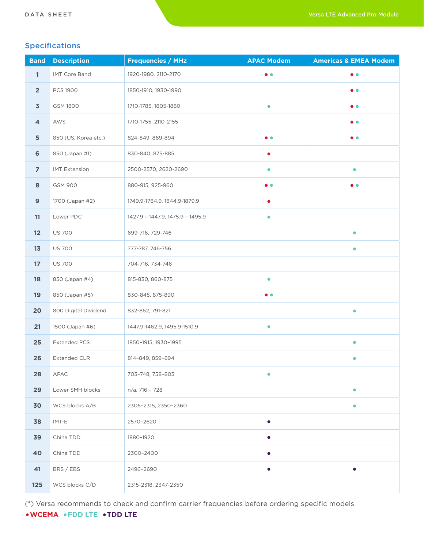# Specifications

| <b>Band</b>             | <b>Description</b>   | <b>Frequencies / MHz</b>         | <b>APAC Modem</b> | <b>Americas &amp; EMEA Modem</b> |
|-------------------------|----------------------|----------------------------------|-------------------|----------------------------------|
| $\mathbf{1}$            | IMT Core Band        | 1920-1980, 2110-2170             | $\bullet$         | $\bullet$                        |
| $\overline{2}$          | <b>PCS 1900</b>      | 1850-1910, 1930-1990             |                   | $\bullet$ $\bullet$              |
| $\overline{\mathbf{3}}$ | GSM 1800             | 1710-1785, 1805-1880             | $\bullet$         | $\bullet\bullet$                 |
| 4                       | AWS                  | 1710-1755, 2110-2155             |                   | $\bullet$ $\bullet$              |
| 5                       | 850 (US, Korea etc.) | 824-849, 869-894                 | $\bullet$         | $\bullet$ $\bullet$              |
| $\bf 6$                 | 850 (Japan #1)       | 830-840, 875-885                 | $\bullet$         |                                  |
| $\overline{7}$          | <b>IMT Extension</b> | 2500-2570, 2620-2690             | $\bullet$         | $\bullet$                        |
| 8                       | <b>GSM 900</b>       | 880-915, 925-960                 |                   | $\bullet\; \bullet$              |
| 9                       | 1700 (Japan #2)      | 1749.9-1784.9, 1844.9-1879.9     |                   |                                  |
| 11                      | Lower PDC            | 1427.9 - 1447.9, 1475.9 - 1495.9 | $\bullet$         |                                  |
| 12                      | <b>US 700</b>        | 699-716, 729-746                 |                   | $\bullet$                        |
| 13                      | <b>US 700</b>        | 777-787, 746-756                 |                   | $\bullet$                        |
| 17                      | <b>US 700</b>        | 704-716, 734-746                 |                   |                                  |
| 18                      | 850 (Japan #4)       | 815-830, 860-875                 | $\bullet$         |                                  |
| 19                      | 850 (Japan #5)       | 830-845, 875-890                 | $\bullet$         |                                  |
| 20                      | 800 Digital Dividend | 832-862, 791-821                 |                   | $\bullet$                        |
| 21                      | 1500 (Japan #6)      | 1447.9-1462.9, 1495.9-1510.9     | $\bullet$         |                                  |
| 25                      | <b>Extended PCS</b>  | 1850-1915, 1930-1995             |                   | $\bullet$                        |
| 26                      | <b>Extended CLR</b>  | 814-849, 859-894                 |                   | e                                |
| 28                      | APAC                 | 703-748, 758-803                 |                   |                                  |
| 29                      | Lower SMH blocks     | n/a, 716 - 728                   |                   | $\bullet$                        |
| 30                      | WCS blocks A/B       | 2305-2315, 2350-2360             |                   | $\bullet$                        |
| 38                      | IMT-E                | 2570-2620                        |                   |                                  |
| 39                      | China TDD            | 1880-1920                        |                   |                                  |
| 40                      | China TDD            | 2300-2400                        |                   |                                  |
| 41                      | BRS / EBS            | 2496-2690                        | $\bullet$         | ●                                |
| 125                     | WCS blocks C/D       | 2315-2318, 2347-2350             |                   |                                  |

(\*) Versa recommends to check and confirm carrier frequencies before ordering specific models

# •**WCEMA** •**FDD LTE** •**TDD LTE**